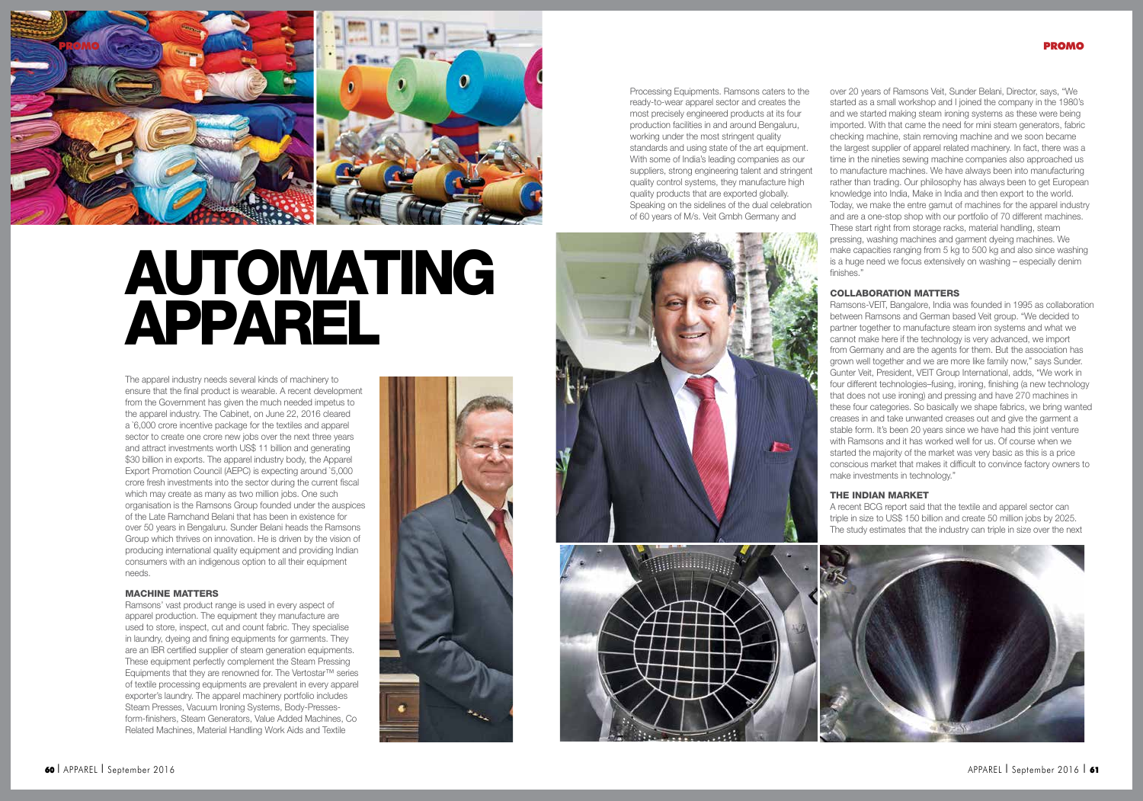

# AUTOMATING APPAREL

The apparel industry needs several kinds of machinery to ensure that the final product is wearable. A recent development from the Government has given the much needed impetus to the apparel industry. The Cabinet, on June 22, 2016 cleared a `6,000 crore incentive package for the textiles and apparel sector to create one crore new jobs over the next three years and attract investments worth US\$ 11 billion and generating \$30 billion in exports. The apparel industry body, the Apparel Export Promotion Council (AEPC) is expecting around `5,000 crore fresh investments into the sector during the current fiscal which may create as many as two million jobs. One such organisation is the Ramsons Group founded under the auspices of the Late Ramchand Belani that has been in existence for over 50 years in Bengaluru. Sunder Belani heads the Ramsons Group which thrives on innovation. He is driven by the vision of producing international quality equipment and providing Indian consumers with an indigenous option to all their equipment needs.

### MACHINE MATTERS

Ramsons' vast product range is used in every aspect of apparel production. The equipment they manufacture are used to store, inspect, cut and count fabric. They specialise in laundry, dyeing and fining equipments for garments. They are an IBR certified supplier of steam generation equipments. These equipment perfectly complement the Steam Pressing Equipments that they are renowned for. The Vertostar™ series of textile processing equipments are prevalent in every apparel exporter's laundry. The apparel machinery portfolio includes Steam Presses, Vacuum Ironing Systems, Body-Pressesform-finishers, Steam Generators, Value Added Machines, Co Related Machines, Material Handling Work Aids and Textile



Processing Equipments. Ramsons caters to the ready-to-wear apparel sector and creates the most precisely engineered products at its four production facilities in and around Bengaluru, working under the most stringent quality standards and using state of the art equipment. With some of India's leading companies as our suppliers, strong engineering talent and stringent quality control systems, they manufacture high quality products that are exported globally. Speaking on the sidelines of the dual celebration of 60 years of M/s. Veit Gmbh Germany and





over 20 years of Ramsons Veit, Sunder Belani, Director, says, "We started as a small workshop and I joined the company in the 1980's and we started making steam ironing systems as these were being imported. With that came the need for mini steam generators, fabric checking machine, stain removing machine and we soon became the largest supplier of apparel related machinery. In fact, there was a time in the nineties sewing machine companies also approached us to manufacture machines. We have always been into manufacturing rather than trading. Our philosophy has always been to get European knowledge into India, Make in India and then export to the world. Today, we make the entre gamut of machines for the apparel industry and are a one-stop shop with our portfolio of 70 different machines. These start right from storage racks, material handling, steam pressing, washing machines and garment dyeing machines. We make capacities ranging from 5 kg to 500 kg and also since washing is a huge need we focus extensively on washing – especially denim finishes."

### COLLABORATION MATTERS

Ramsons-VEIT, Bangalore, India was founded in 1995 as collaboration between Ramsons and German based Veit group. "We decided to partner together to manufacture steam iron systems and what we cannot make here if the technology is very advanced, we import from Germany and are the agents for them. But the association has grown well together and we are more like family now," says Sunder. Gunter Veit, President, VEIT Group International, adds, "We work in four different technologies–fusing, ironing, finishing (a new technology that does not use ironing) and pressing and have 270 machines in these four categories. So basically we shape fabrics, we bring wanted creases in and take unwanted creases out and give the garment a stable form. It's been 20 years since we have had this joint venture with Ramsons and it has worked well for us. Of course when we started the majority of the market was very basic as this is a price conscious market that makes it difficult to convince factory owners to make investments in technology."

# THE INDIAN MARKET

A recent BCG report said that the textile and apparel sector can triple in size to US\$ 150 billion and create 50 million jobs by 2025. The study estimates that the industry can triple in size over the next